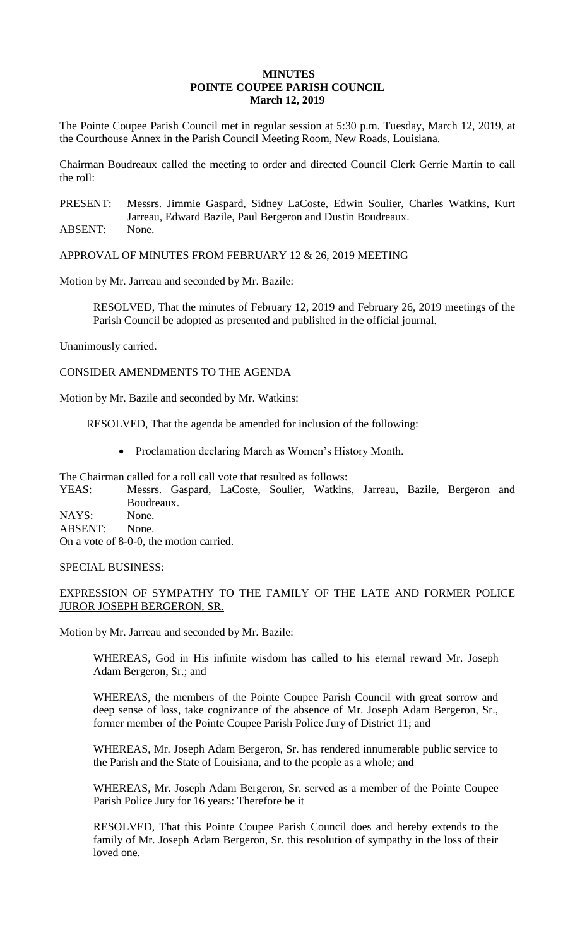### **MINUTES POINTE COUPEE PARISH COUNCIL March 12, 2019**

The Pointe Coupee Parish Council met in regular session at 5:30 p.m. Tuesday, March 12, 2019, at the Courthouse Annex in the Parish Council Meeting Room, New Roads, Louisiana.

Chairman Boudreaux called the meeting to order and directed Council Clerk Gerrie Martin to call the roll:

PRESENT: Messrs. Jimmie Gaspard, Sidney LaCoste, Edwin Soulier, Charles Watkins, Kurt Jarreau, Edward Bazile, Paul Bergeron and Dustin Boudreaux.

ABSENT: None.

APPROVAL OF MINUTES FROM FEBRUARY 12 & 26, 2019 MEETING

Motion by Mr. Jarreau and seconded by Mr. Bazile:

RESOLVED, That the minutes of February 12, 2019 and February 26, 2019 meetings of the Parish Council be adopted as presented and published in the official journal.

Unanimously carried.

CONSIDER AMENDMENTS TO THE AGENDA

Motion by Mr. Bazile and seconded by Mr. Watkins:

RESOLVED, That the agenda be amended for inclusion of the following:

• Proclamation declaring March as Women's History Month.

The Chairman called for a roll call vote that resulted as follows:

YEAS: Messrs. Gaspard, LaCoste, Soulier, Watkins, Jarreau, Bazile, Bergeron and Boudreaux. NAYS: None.

ABSENT: None. On a vote of 8-0-0, the motion carried.

## SPECIAL BUSINESS:

# EXPRESSION OF SYMPATHY TO THE FAMILY OF THE LATE AND FORMER POLICE JUROR JOSEPH BERGERON, SR.

Motion by Mr. Jarreau and seconded by Mr. Bazile:

WHEREAS, God in His infinite wisdom has called to his eternal reward Mr. Joseph Adam Bergeron, Sr.; and

WHEREAS, the members of the Pointe Coupee Parish Council with great sorrow and deep sense of loss, take cognizance of the absence of Mr. Joseph Adam Bergeron, Sr., former member of the Pointe Coupee Parish Police Jury of District 11; and

WHEREAS, Mr. Joseph Adam Bergeron, Sr. has rendered innumerable public service to the Parish and the State of Louisiana, and to the people as a whole; and

WHEREAS, Mr. Joseph Adam Bergeron, Sr. served as a member of the Pointe Coupee Parish Police Jury for 16 years: Therefore be it

RESOLVED, That this Pointe Coupee Parish Council does and hereby extends to the family of Mr. Joseph Adam Bergeron, Sr. this resolution of sympathy in the loss of their loved one.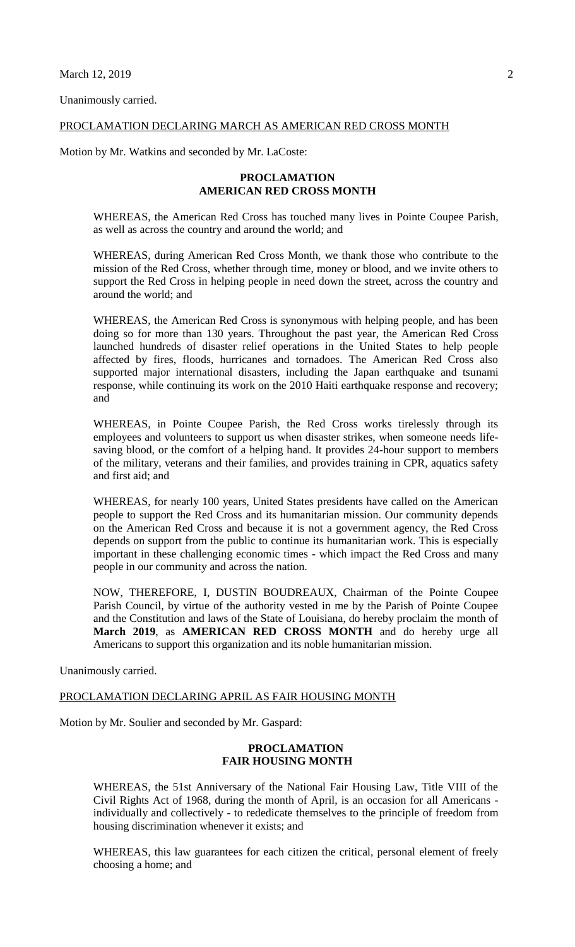Unanimously carried.

#### PROCLAMATION DECLARING MARCH AS AMERICAN RED CROSS MONTH

Motion by Mr. Watkins and seconded by Mr. LaCoste:

### **PROCLAMATION AMERICAN RED CROSS MONTH**

WHEREAS, the American Red Cross has touched many lives in Pointe Coupee Parish, as well as across the country and around the world; and

WHEREAS, during American Red Cross Month, we thank those who contribute to the mission of the Red Cross, whether through time, money or blood, and we invite others to support the Red Cross in helping people in need down the street, across the country and around the world; and

WHEREAS, the American Red Cross is synonymous with helping people, and has been doing so for more than 130 years. Throughout the past year, the American Red Cross launched hundreds of disaster relief operations in the United States to help people affected by fires, floods, hurricanes and tornadoes. The American Red Cross also supported major international disasters, including the Japan earthquake and tsunami response, while continuing its work on the 2010 Haiti earthquake response and recovery; and

WHEREAS, in Pointe Coupee Parish, the Red Cross works tirelessly through its employees and volunteers to support us when disaster strikes, when someone needs lifesaving blood, or the comfort of a helping hand. It provides 24-hour support to members of the military, veterans and their families, and provides training in CPR, aquatics safety and first aid; and

WHEREAS, for nearly 100 years, United States presidents have called on the American people to support the Red Cross and its humanitarian mission. Our community depends on the American Red Cross and because it is not a government agency, the Red Cross depends on support from the public to continue its humanitarian work. This is especially important in these challenging economic times - which impact the Red Cross and many people in our community and across the nation.

NOW, THEREFORE, I, DUSTIN BOUDREAUX, Chairman of the Pointe Coupee Parish Council, by virtue of the authority vested in me by the Parish of Pointe Coupee and the Constitution and laws of the State of Louisiana, do hereby proclaim the month of **March 2019**, as **AMERICAN RED CROSS MONTH** and do hereby urge all Americans to support this organization and its noble humanitarian mission.

Unanimously carried.

### PROCLAMATION DECLARING APRIL AS FAIR HOUSING MONTH

Motion by Mr. Soulier and seconded by Mr. Gaspard:

### **PROCLAMATION FAIR HOUSING MONTH**

WHEREAS, the 51st Anniversary of the National Fair Housing Law, Title VIII of the Civil Rights Act of 1968, during the month of April, is an occasion for all Americans individually and collectively - to rededicate themselves to the principle of freedom from housing discrimination whenever it exists; and

WHEREAS, this law guarantees for each citizen the critical, personal element of freely choosing a home; and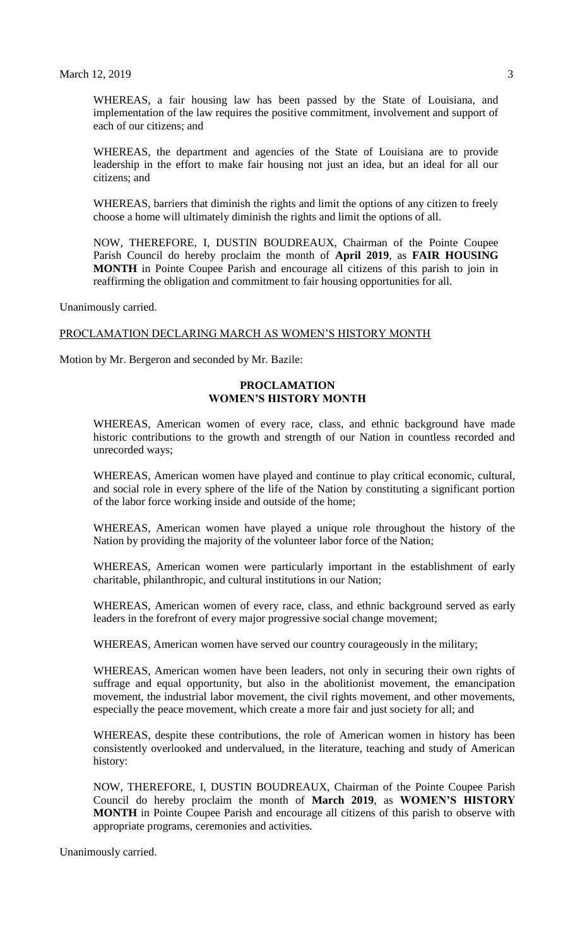WHEREAS, a fair housing law has been passed by the State of Louisiana, and implementation of the law requires the positive commitment, involvement and support of each of our citizens; and

WHEREAS, the department and agencies of the State of Louisiana are to provide leadership in the effort to make fair housing not just an idea, but an ideal for all our citizens; and

WHEREAS, barriers that diminish the rights and limit the options of any citizen to freely choose a home will ultimately diminish the rights and limit the options of all.

NOW, THEREFORE, I, DUSTIN BOUDREAUX, Chairman of the Pointe Coupee Parish Council do hereby proclaim the month of **April 2019**, as **FAIR HOUSING MONTH** in Pointe Coupee Parish and encourage all citizens of this parish to join in reaffirming the obligation and commitment to fair housing opportunities for all.

Unanimously carried.

### PROCLAMATION DECLARING MARCH AS WOMEN'S HISTORY MONTH

Motion by Mr. Bergeron and seconded by Mr. Bazile:

### **PROCLAMATION WOMEN'S HISTORY MONTH**

WHEREAS, American women of every race, class, and ethnic background have made historic contributions to the growth and strength of our Nation in countless recorded and unrecorded ways;

WHEREAS, American women have played and continue to play critical economic, cultural, and social role in every sphere of the life of the Nation by constituting a significant portion of the labor force working inside and outside of the home;

WHEREAS, American women have played a unique role throughout the history of the Nation by providing the majority of the volunteer labor force of the Nation;

WHEREAS, American women were particularly important in the establishment of early charitable, philanthropic, and cultural institutions in our Nation;

WHEREAS, American women of every race, class, and ethnic background served as early leaders in the forefront of every major progressive social change movement;

WHEREAS, American women have served our country courageously in the military;

WHEREAS, American women have been leaders, not only in securing their own rights of suffrage and equal opportunity, but also in the abolitionist movement, the emancipation movement, the industrial labor movement, the civil rights movement, and other movements, especially the peace movement, which create a more fair and just society for all; and

WHEREAS, despite these contributions, the role of American women in history has been consistently overlooked and undervalued, in the literature, teaching and study of American history:

NOW, THEREFORE, I, DUSTIN BOUDREAUX, Chairman of the Pointe Coupee Parish Council do hereby proclaim the month of **March 2019**, as **WOMEN'S HISTORY MONTH** in Pointe Coupee Parish and encourage all citizens of this parish to observe with appropriate programs, ceremonies and activities.

Unanimously carried.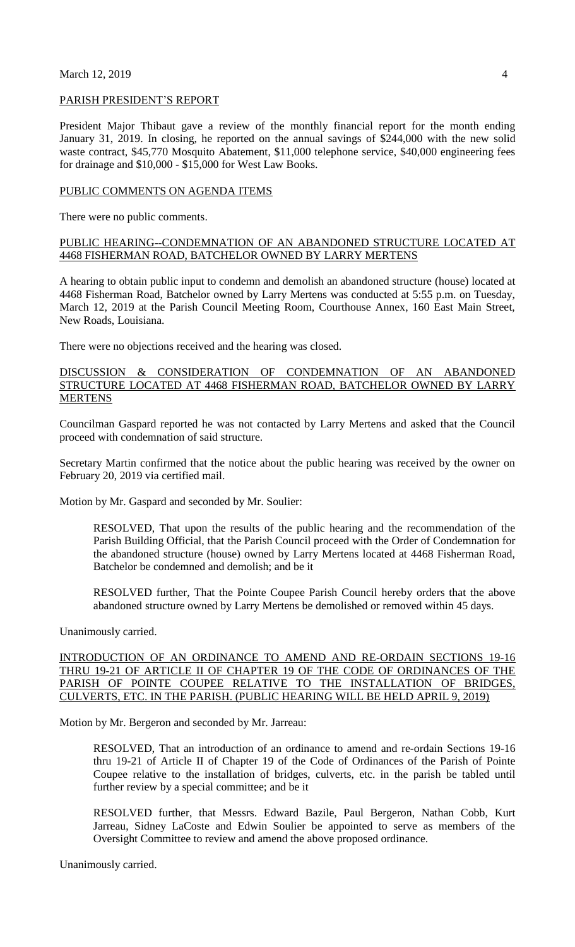#### March 12, 2019 4

#### PARISH PRESIDENT'S REPORT

President Major Thibaut gave a review of the monthly financial report for the month ending January 31, 2019. In closing, he reported on the annual savings of \$244,000 with the new solid waste contract, \$45,770 Mosquito Abatement, \$11,000 telephone service, \$40,000 engineering fees for drainage and \$10,000 - \$15,000 for West Law Books.

## PUBLIC COMMENTS ON AGENDA ITEMS

There were no public comments.

#### PUBLIC HEARING--CONDEMNATION OF AN ABANDONED STRUCTURE LOCATED AT 4468 FISHERMAN ROAD, BATCHELOR OWNED BY LARRY MERTENS

A hearing to obtain public input to condemn and demolish an abandoned structure (house) located at 4468 Fisherman Road, Batchelor owned by Larry Mertens was conducted at 5:55 p.m. on Tuesday, March 12, 2019 at the Parish Council Meeting Room, Courthouse Annex, 160 East Main Street, New Roads, Louisiana.

There were no objections received and the hearing was closed.

### DISCUSSION & CONSIDERATION OF CONDEMNATION OF AN ABANDONED STRUCTURE LOCATED AT 4468 FISHERMAN ROAD, BATCHELOR OWNED BY LARRY **MERTENS**

Councilman Gaspard reported he was not contacted by Larry Mertens and asked that the Council proceed with condemnation of said structure.

Secretary Martin confirmed that the notice about the public hearing was received by the owner on February 20, 2019 via certified mail.

Motion by Mr. Gaspard and seconded by Mr. Soulier:

RESOLVED, That upon the results of the public hearing and the recommendation of the Parish Building Official, that the Parish Council proceed with the Order of Condemnation for the abandoned structure (house) owned by Larry Mertens located at 4468 Fisherman Road, Batchelor be condemned and demolish; and be it

RESOLVED further, That the Pointe Coupee Parish Council hereby orders that the above abandoned structure owned by Larry Mertens be demolished or removed within 45 days.

Unanimously carried.

## INTRODUCTION OF AN ORDINANCE TO AMEND AND RE-ORDAIN SECTIONS 19-16 THRU 19-21 OF ARTICLE II OF CHAPTER 19 OF THE CODE OF ORDINANCES OF THE PARISH OF POINTE COUPEE RELATIVE TO THE INSTALLATION OF BRIDGES, CULVERTS, ETC. IN THE PARISH. (PUBLIC HEARING WILL BE HELD APRIL 9, 2019)

Motion by Mr. Bergeron and seconded by Mr. Jarreau:

RESOLVED, That an introduction of an ordinance to amend and re-ordain Sections 19-16 thru 19-21 of Article II of Chapter 19 of the Code of Ordinances of the Parish of Pointe Coupee relative to the installation of bridges, culverts, etc. in the parish be tabled until further review by a special committee; and be it

RESOLVED further, that Messrs. Edward Bazile, Paul Bergeron, Nathan Cobb, Kurt Jarreau, Sidney LaCoste and Edwin Soulier be appointed to serve as members of the Oversight Committee to review and amend the above proposed ordinance.

Unanimously carried.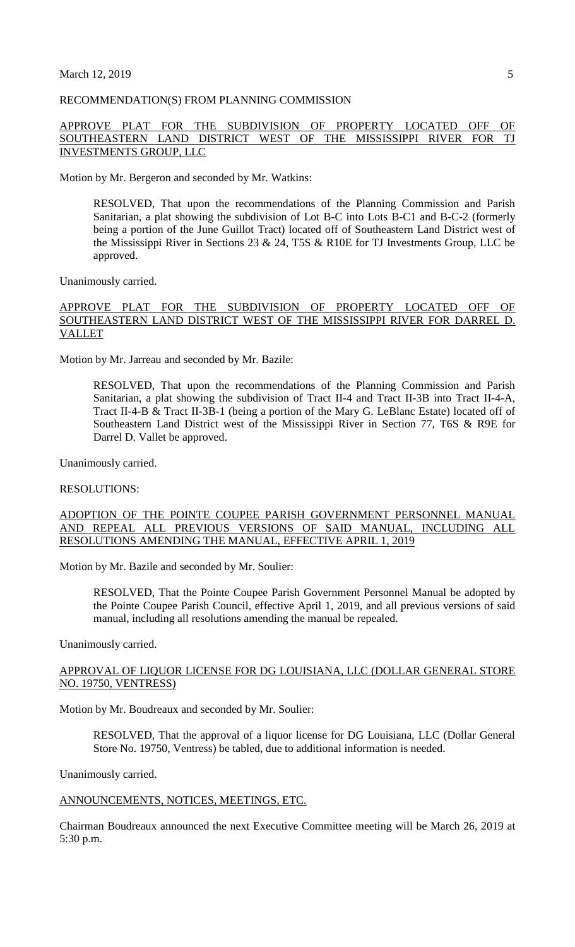### March 12, 2019 5

#### RECOMMENDATION(S) FROM PLANNING COMMISSION

### APPROVE PLAT FOR THE SUBDIVISION OF PROPERTY LOCATED OFF OF SOUTHEASTERN LAND DISTRICT WEST OF THE MISSISSIPPI RIVER FOR TJ INVESTMENTS GROUP, LLC

Motion by Mr. Bergeron and seconded by Mr. Watkins:

RESOLVED, That upon the recommendations of the Planning Commission and Parish Sanitarian, a plat showing the subdivision of Lot B-C into Lots B-C1 and B-C-2 (formerly being a portion of the June Guillot Tract) located off of Southeastern Land District west of the Mississippi River in Sections 23 & 24, T5S & R10E for TJ Investments Group, LLC be approved.

Unanimously carried.

#### APPROVE PLAT FOR THE SUBDIVISION OF PROPERTY LOCATED OFF OF SOUTHEASTERN LAND DISTRICT WEST OF THE MISSISSIPPI RIVER FOR DARREL D. VALLET

Motion by Mr. Jarreau and seconded by Mr. Bazile:

RESOLVED, That upon the recommendations of the Planning Commission and Parish Sanitarian, a plat showing the subdivision of Tract II-4 and Tract II-3B into Tract II-4-A, Tract II-4-B & Tract II-3B-1 (being a portion of the Mary G. LeBlanc Estate) located off of Southeastern Land District west of the Mississippi River in Section 77, T6S & R9E for Darrel D. Vallet be approved.

Unanimously carried.

#### RESOLUTIONS:

## ADOPTION OF THE POINTE COUPEE PARISH GOVERNMENT PERSONNEL MANUAL AND REPEAL ALL PREVIOUS VERSIONS OF SAID MANUAL, INCLUDING ALL RESOLUTIONS AMENDING THE MANUAL, EFFECTIVE APRIL 1, 2019

Motion by Mr. Bazile and seconded by Mr. Soulier:

RESOLVED, That the Pointe Coupee Parish Government Personnel Manual be adopted by the Pointe Coupee Parish Council, effective April 1, 2019, and all previous versions of said manual, including all resolutions amending the manual be repealed.

Unanimously carried.

### APPROVAL OF LIQUOR LICENSE FOR DG LOUISIANA, LLC (DOLLAR GENERAL STORE NO. 19750, VENTRESS)

Motion by Mr. Boudreaux and seconded by Mr. Soulier:

RESOLVED, That the approval of a liquor license for DG Louisiana, LLC (Dollar General Store No. 19750, Ventress) be tabled, due to additional information is needed.

Unanimously carried.

#### ANNOUNCEMENTS, NOTICES, MEETINGS, ETC.

Chairman Boudreaux announced the next Executive Committee meeting will be March 26, 2019 at 5:30 p.m.